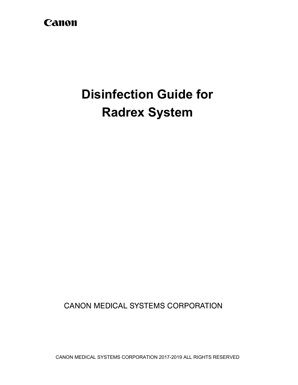## Canon

# **Disinfection Guide for Radrex System**

**CANON MEDICAL SYSTEMS CORPORATION** 

CANON MEDICAL SYSTEMS CORPORATION 2017-2019 ALL RIGHTS RESERVED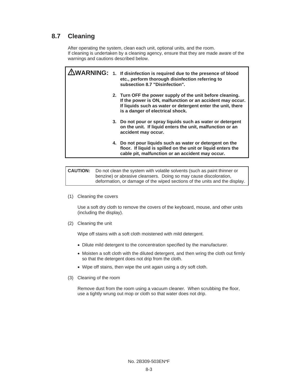#### **8.7 Cleaning**

After operating the system, clean each unit, optional units, and the room. If cleaning is undertaken by a cleaning agency, ensure that they are made aware of the warnings and cautions described below.

|  | $\mathbf{WARMING:}$ 1. If disinfection is required due to the presence of blood<br>etc., perform thorough disinfection referring to<br>subsection 8.7 "Disinfection".                                                     |
|--|---------------------------------------------------------------------------------------------------------------------------------------------------------------------------------------------------------------------------|
|  | 2. Turn OFF the power supply of the unit before cleaning.<br>If the power is ON, malfunction or an accident may occur.<br>If liquids such as water or detergent enter the unit, there<br>is a danger of electrical shock. |
|  | 3. Do not pour or spray liquids such as water or detergent<br>on the unit. If liquid enters the unit, malfunction or an<br>accident may occur.                                                                            |
|  | 4. Do not pour liquids such as water or detergent on the<br>floor. If liquid is spilled on the unit or liquid enters the<br>cable pit, malfunction or an accident may occur.                                              |

**CAUTION:** Do not clean the system with volatile solvents (such as paint thinner or benzine) or abrasive cleansers. Doing so may cause discoloration, deformation, or damage of the wiped sections of the units and the display.

(1) Cleaning the covers

Use a soft dry cloth to remove the covers of the keyboard, mouse, and other units (including the display).

(2) Cleaning the unit

Wipe off stains with a soft cloth moistened with mild detergent.

- Dilute mild detergent to the concentration specified by the manufacturer.
- Moisten a soft cloth with the diluted detergent, and then wring the cloth out firmly so that the detergent does not drip from the cloth.
- Wipe off stains, then wipe the unit again using a dry soft cloth.
- (3) Cleaning of the room

Remove dust from the room using a vacuum cleaner. When scrubbing the floor, use a tightly wrung out mop or cloth so that water does not drip.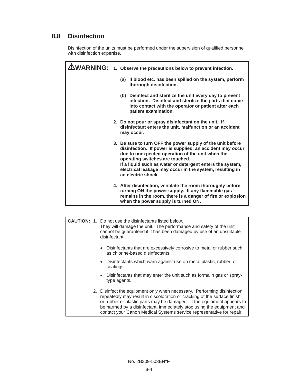### **8.8 Disinfection**

Disinfection of the units must be performed under the supervision of qualified personnel with disinfection expertise.

|  | $\triangle$ WARNING: 1. Observe the precautions below to prevent infection.                                                                                                                                                                                                                                                                                   |  |
|--|---------------------------------------------------------------------------------------------------------------------------------------------------------------------------------------------------------------------------------------------------------------------------------------------------------------------------------------------------------------|--|
|  | (a) If blood etc. has been spilled on the system, perform<br>thorough disinfection.                                                                                                                                                                                                                                                                           |  |
|  | (b) Disinfect and sterilize the unit every day to prevent<br>infection. Disinfect and sterilize the parts that come<br>into contact with the operator or patient after each<br>patient examination.                                                                                                                                                           |  |
|  | 2. Do not pour or spray disinfectant on the unit. If<br>disinfectant enters the unit, malfunction or an accident<br>may occur.                                                                                                                                                                                                                                |  |
|  | 3. Be sure to turn OFF the power supply of the unit before<br>disinfection. If power is supplied, an accident may occur<br>due to unexpected operation of the unit when the<br>operating switches are touched.<br>If a liquid such as water or detergent enters the system,<br>electrical leakage may occur in the system, resulting in<br>an electric shock. |  |
|  | 4. After disinfection, ventilate the room thoroughly before<br>turning ON the power supply. If any flammable gas<br>remains in the room, there is a danger of fire or explosion<br>when the power supply is turned ON.                                                                                                                                        |  |

|  |  | <b>CAUTION:</b> 1. Do not use the disinfectants listed below.<br>They will damage the unit. The performance and safety of the unit<br>cannot be guaranteed if it has been damaged by use of an unsuitable<br>disinfectant.                                                                                                                                                       |  |  |
|--|--|----------------------------------------------------------------------------------------------------------------------------------------------------------------------------------------------------------------------------------------------------------------------------------------------------------------------------------------------------------------------------------|--|--|
|  |  | • Disinfectants that are excessively corrosive to metal or rubber such<br>as chlorine-based disinfectants.                                                                                                                                                                                                                                                                       |  |  |
|  |  | Disinfectants which warn against use on metal plastic, rubber, or<br>$\bullet$<br>coatings.                                                                                                                                                                                                                                                                                      |  |  |
|  |  | Disinfectants that may enter the unit such as formalin gas or spray-<br>$\bullet$<br>type agents.                                                                                                                                                                                                                                                                                |  |  |
|  |  | 2. Disinfect the equipment only when necessary. Performing disinfection<br>repeatedly may result in discoloration or cracking of the surface finish,<br>or rubber or plastic parts may be damaged. If the equipment appears to<br>be harmed by a disinfectant, immediately stop using the equipment and<br>contact your Canon Medical Systems service representative for repair. |  |  |